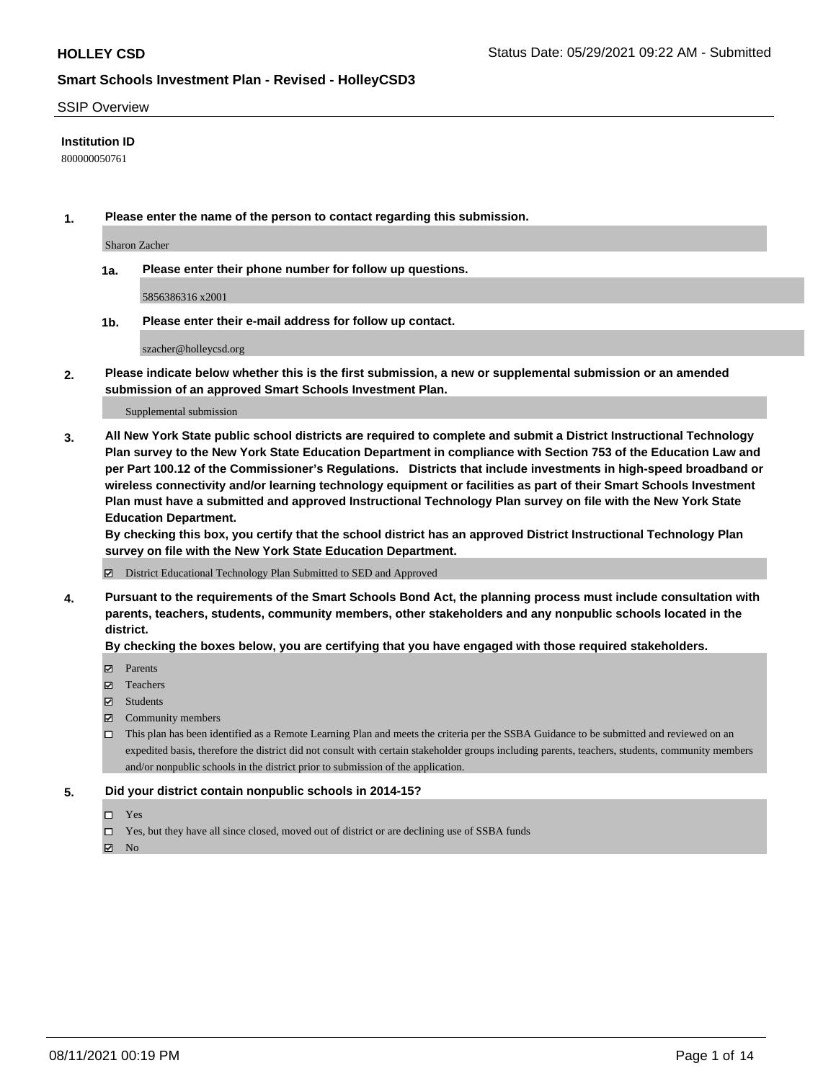### SSIP Overview

### **Institution ID**

800000050761

**1. Please enter the name of the person to contact regarding this submission.**

Sharon Zacher

**1a. Please enter their phone number for follow up questions.**

5856386316 x2001

**1b. Please enter their e-mail address for follow up contact.**

szacher@holleycsd.org

**2. Please indicate below whether this is the first submission, a new or supplemental submission or an amended submission of an approved Smart Schools Investment Plan.**

#### Supplemental submission

**3. All New York State public school districts are required to complete and submit a District Instructional Technology Plan survey to the New York State Education Department in compliance with Section 753 of the Education Law and per Part 100.12 of the Commissioner's Regulations. Districts that include investments in high-speed broadband or wireless connectivity and/or learning technology equipment or facilities as part of their Smart Schools Investment Plan must have a submitted and approved Instructional Technology Plan survey on file with the New York State Education Department.** 

**By checking this box, you certify that the school district has an approved District Instructional Technology Plan survey on file with the New York State Education Department.**

District Educational Technology Plan Submitted to SED and Approved

**4. Pursuant to the requirements of the Smart Schools Bond Act, the planning process must include consultation with parents, teachers, students, community members, other stakeholders and any nonpublic schools located in the district.** 

### **By checking the boxes below, you are certifying that you have engaged with those required stakeholders.**

- **Parents**
- Teachers
- Students
- $\boxtimes$  Community members
- This plan has been identified as a Remote Learning Plan and meets the criteria per the SSBA Guidance to be submitted and reviewed on an expedited basis, therefore the district did not consult with certain stakeholder groups including parents, teachers, students, community members and/or nonpublic schools in the district prior to submission of the application.
- **5. Did your district contain nonpublic schools in 2014-15?**
	- □ Yes
	- □ Yes, but they have all since closed, moved out of district or are declining use of SSBA funds

 $M$  No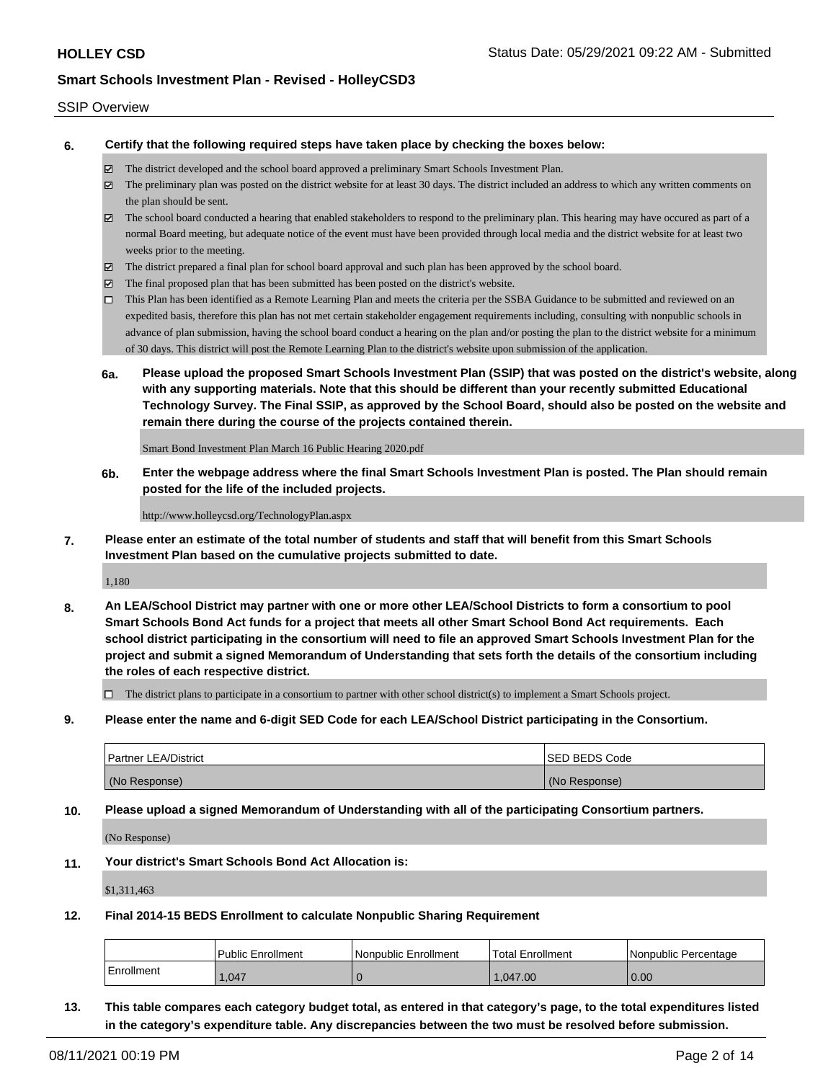### SSIP Overview

**6. Certify that the following required steps have taken place by checking the boxes below:**

- The district developed and the school board approved a preliminary Smart Schools Investment Plan.
- The preliminary plan was posted on the district website for at least 30 days. The district included an address to which any written comments on the plan should be sent.
- $\boxtimes$  The school board conducted a hearing that enabled stakeholders to respond to the preliminary plan. This hearing may have occured as part of a normal Board meeting, but adequate notice of the event must have been provided through local media and the district website for at least two weeks prior to the meeting.
- The district prepared a final plan for school board approval and such plan has been approved by the school board.
- $\boxtimes$  The final proposed plan that has been submitted has been posted on the district's website.
- This Plan has been identified as a Remote Learning Plan and meets the criteria per the SSBA Guidance to be submitted and reviewed on an expedited basis, therefore this plan has not met certain stakeholder engagement requirements including, consulting with nonpublic schools in advance of plan submission, having the school board conduct a hearing on the plan and/or posting the plan to the district website for a minimum of 30 days. This district will post the Remote Learning Plan to the district's website upon submission of the application.
- **6a. Please upload the proposed Smart Schools Investment Plan (SSIP) that was posted on the district's website, along with any supporting materials. Note that this should be different than your recently submitted Educational Technology Survey. The Final SSIP, as approved by the School Board, should also be posted on the website and remain there during the course of the projects contained therein.**

Smart Bond Investment Plan March 16 Public Hearing 2020.pdf

**6b. Enter the webpage address where the final Smart Schools Investment Plan is posted. The Plan should remain posted for the life of the included projects.**

http://www.holleycsd.org/TechnologyPlan.aspx

**7. Please enter an estimate of the total number of students and staff that will benefit from this Smart Schools Investment Plan based on the cumulative projects submitted to date.**

1,180

**8. An LEA/School District may partner with one or more other LEA/School Districts to form a consortium to pool Smart Schools Bond Act funds for a project that meets all other Smart School Bond Act requirements. Each school district participating in the consortium will need to file an approved Smart Schools Investment Plan for the project and submit a signed Memorandum of Understanding that sets forth the details of the consortium including the roles of each respective district.**

 $\Box$  The district plans to participate in a consortium to partner with other school district(s) to implement a Smart Schools project.

**9. Please enter the name and 6-digit SED Code for each LEA/School District participating in the Consortium.**

| <b>Partner LEA/District</b> | <b>ISED BEDS Code</b> |
|-----------------------------|-----------------------|
| (No Response)               | (No Response)         |

**10. Please upload a signed Memorandum of Understanding with all of the participating Consortium partners.**

(No Response)

**11. Your district's Smart Schools Bond Act Allocation is:**

\$1,311,463

**12. Final 2014-15 BEDS Enrollment to calculate Nonpublic Sharing Requirement**

|            | <b>Public Enrollment</b> | Nonpublic Enrollment | Total Enrollment | INonpublic Percentage |
|------------|--------------------------|----------------------|------------------|-----------------------|
| Enrollment | .047                     |                      | .047.00          | 0.00                  |

**13. This table compares each category budget total, as entered in that category's page, to the total expenditures listed in the category's expenditure table. Any discrepancies between the two must be resolved before submission.**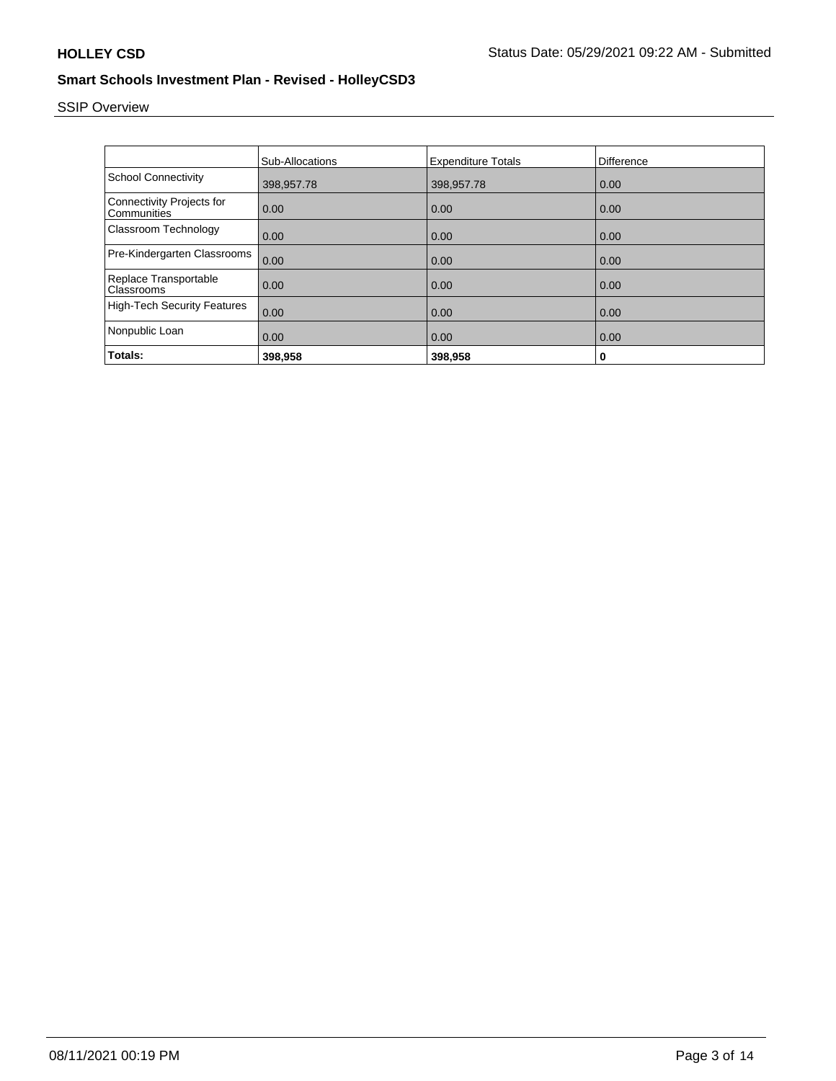# SSIP Overview

|                                                 | <b>Sub-Allocations</b> | <b>Expenditure Totals</b> | Difference |
|-------------------------------------------------|------------------------|---------------------------|------------|
| <b>School Connectivity</b>                      | 398,957.78             | 398,957.78                | 0.00       |
| <b>Connectivity Projects for</b><br>Communities | 0.00                   | 0.00                      | 0.00       |
| Classroom Technology                            | 0.00                   | 0.00                      | 0.00       |
| Pre-Kindergarten Classrooms                     | 0.00                   | 0.00                      | 0.00       |
| Replace Transportable<br>Classrooms             | 0.00                   | 0.00                      | 0.00       |
| <b>High-Tech Security Features</b>              | 0.00                   | 0.00                      | 0.00       |
| Nonpublic Loan                                  | 0.00                   | 0.00                      | 0.00       |
| Totals:                                         | 398,958                | 398,958                   | 0          |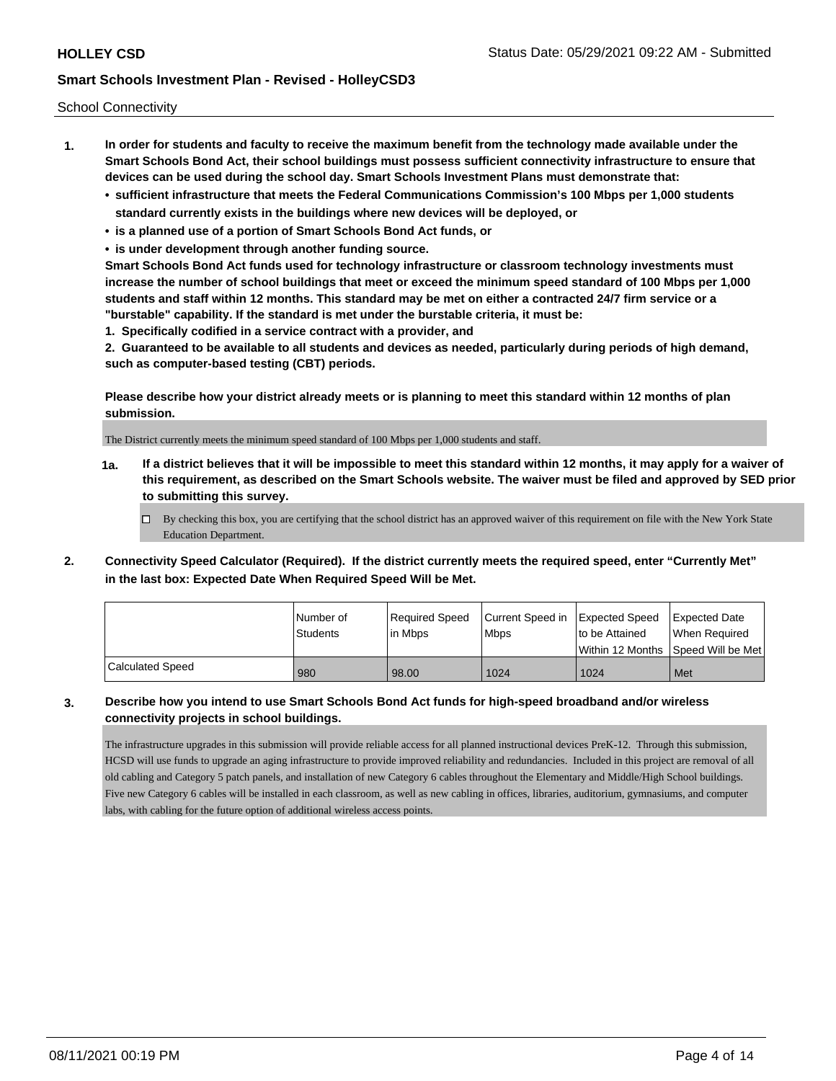School Connectivity

- **1. In order for students and faculty to receive the maximum benefit from the technology made available under the Smart Schools Bond Act, their school buildings must possess sufficient connectivity infrastructure to ensure that devices can be used during the school day. Smart Schools Investment Plans must demonstrate that:**
	- **• sufficient infrastructure that meets the Federal Communications Commission's 100 Mbps per 1,000 students standard currently exists in the buildings where new devices will be deployed, or**
	- **• is a planned use of a portion of Smart Schools Bond Act funds, or**
	- **• is under development through another funding source.**

**Smart Schools Bond Act funds used for technology infrastructure or classroom technology investments must increase the number of school buildings that meet or exceed the minimum speed standard of 100 Mbps per 1,000 students and staff within 12 months. This standard may be met on either a contracted 24/7 firm service or a "burstable" capability. If the standard is met under the burstable criteria, it must be:**

**1. Specifically codified in a service contract with a provider, and**

**2. Guaranteed to be available to all students and devices as needed, particularly during periods of high demand, such as computer-based testing (CBT) periods.**

**Please describe how your district already meets or is planning to meet this standard within 12 months of plan submission.**

The District currently meets the minimum speed standard of 100 Mbps per 1,000 students and staff.

**1a. If a district believes that it will be impossible to meet this standard within 12 months, it may apply for a waiver of this requirement, as described on the Smart Schools website. The waiver must be filed and approved by SED prior to submitting this survey.**

 $\Box$  By checking this box, you are certifying that the school district has an approved waiver of this requirement on file with the New York State Education Department.

**2. Connectivity Speed Calculator (Required). If the district currently meets the required speed, enter "Currently Met" in the last box: Expected Date When Required Speed Will be Met.**

|                  | l Number of     | Required Speed | Current Speed in   Expected Speed |                | Expected Date                      |
|------------------|-----------------|----------------|-----------------------------------|----------------|------------------------------------|
|                  | <b>Students</b> | lin Mbps       | <b>Mbps</b>                       | to be Attained | When Required                      |
|                  |                 |                |                                   |                | Within 12 Months Speed Will be Met |
| Calculated Speed | 980             | 98.00          | 1024                              | 1024           | Met                                |

### **3. Describe how you intend to use Smart Schools Bond Act funds for high-speed broadband and/or wireless connectivity projects in school buildings.**

The infrastructure upgrades in this submission will provide reliable access for all planned instructional devices PreK-12. Through this submission, HCSD will use funds to upgrade an aging infrastructure to provide improved reliability and redundancies. Included in this project are removal of all old cabling and Category 5 patch panels, and installation of new Category 6 cables throughout the Elementary and Middle/High School buildings. Five new Category 6 cables will be installed in each classroom, as well as new cabling in offices, libraries, auditorium, gymnasiums, and computer labs, with cabling for the future option of additional wireless access points.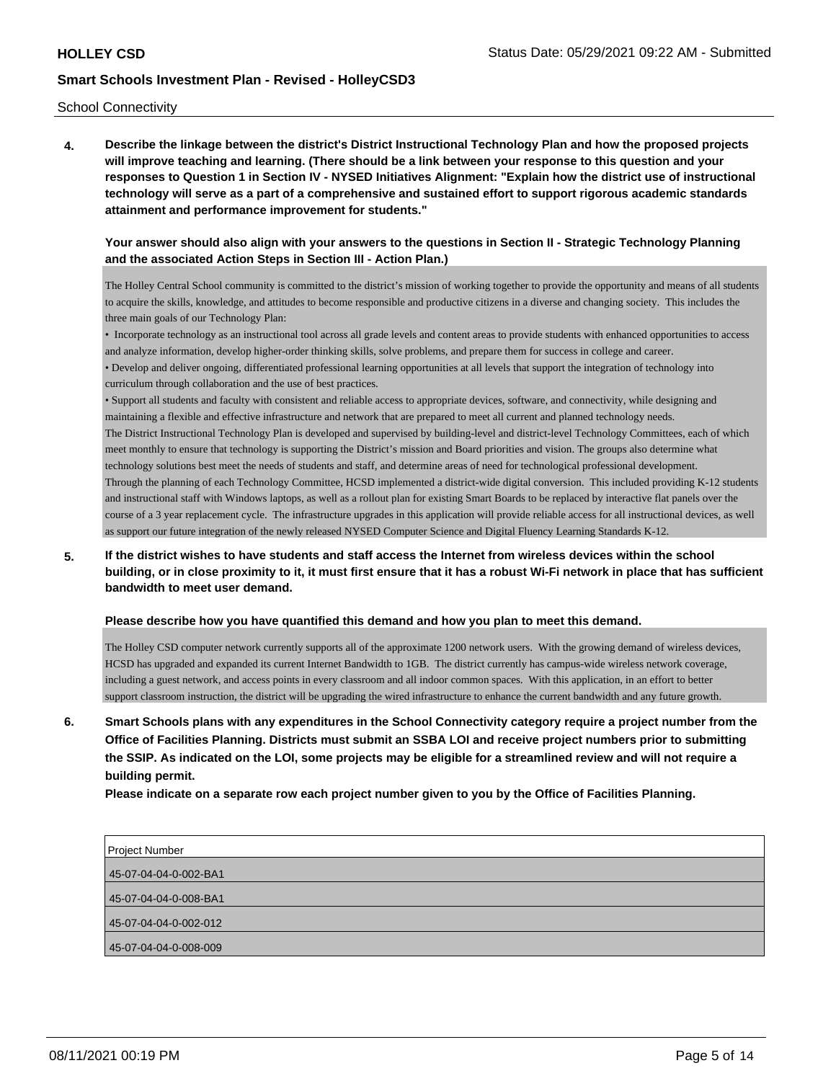### School Connectivity

**4. Describe the linkage between the district's District Instructional Technology Plan and how the proposed projects will improve teaching and learning. (There should be a link between your response to this question and your responses to Question 1 in Section IV - NYSED Initiatives Alignment: "Explain how the district use of instructional technology will serve as a part of a comprehensive and sustained effort to support rigorous academic standards attainment and performance improvement for students."** 

## **Your answer should also align with your answers to the questions in Section II - Strategic Technology Planning and the associated Action Steps in Section III - Action Plan.)**

The Holley Central School community is committed to the district's mission of working together to provide the opportunity and means of all students to acquire the skills, knowledge, and attitudes to become responsible and productive citizens in a diverse and changing society. This includes the three main goals of our Technology Plan:

• Incorporate technology as an instructional tool across all grade levels and content areas to provide students with enhanced opportunities to access and analyze information, develop higher-order thinking skills, solve problems, and prepare them for success in college and career. • Develop and deliver ongoing, differentiated professional learning opportunities at all levels that support the integration of technology into curriculum through collaboration and the use of best practices.

• Support all students and faculty with consistent and reliable access to appropriate devices, software, and connectivity, while designing and maintaining a flexible and effective infrastructure and network that are prepared to meet all current and planned technology needs. The District Instructional Technology Plan is developed and supervised by building-level and district-level Technology Committees, each of which meet monthly to ensure that technology is supporting the District's mission and Board priorities and vision. The groups also determine what technology solutions best meet the needs of students and staff, and determine areas of need for technological professional development. Through the planning of each Technology Committee, HCSD implemented a district-wide digital conversion. This included providing K-12 students and instructional staff with Windows laptops, as well as a rollout plan for existing Smart Boards to be replaced by interactive flat panels over the course of a 3 year replacement cycle. The infrastructure upgrades in this application will provide reliable access for all instructional devices, as well as support our future integration of the newly released NYSED Computer Science and Digital Fluency Learning Standards K-12.

## **5. If the district wishes to have students and staff access the Internet from wireless devices within the school building, or in close proximity to it, it must first ensure that it has a robust Wi-Fi network in place that has sufficient bandwidth to meet user demand.**

### **Please describe how you have quantified this demand and how you plan to meet this demand.**

The Holley CSD computer network currently supports all of the approximate 1200 network users. With the growing demand of wireless devices, HCSD has upgraded and expanded its current Internet Bandwidth to 1GB. The district currently has campus-wide wireless network coverage, including a guest network, and access points in every classroom and all indoor common spaces. With this application, in an effort to better support classroom instruction, the district will be upgrading the wired infrastructure to enhance the current bandwidth and any future growth.

**6. Smart Schools plans with any expenditures in the School Connectivity category require a project number from the Office of Facilities Planning. Districts must submit an SSBA LOI and receive project numbers prior to submitting the SSIP. As indicated on the LOI, some projects may be eligible for a streamlined review and will not require a building permit.**

**Please indicate on a separate row each project number given to you by the Office of Facilities Planning.**

| <b>Project Number</b> |
|-----------------------|
| 45-07-04-04-0-002-BA1 |
|                       |
| 45-07-04-04-0-008-BA1 |
| 45-07-04-04-0-002-012 |
| 45-07-04-04-0-008-009 |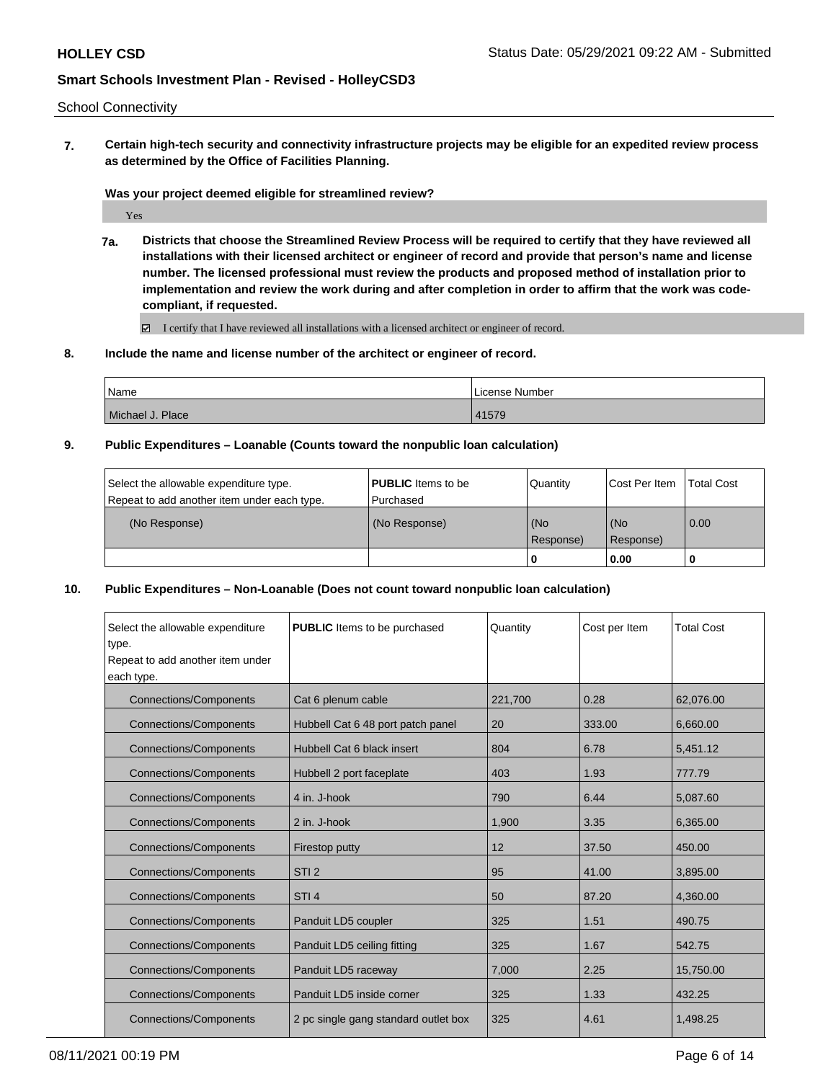## School Connectivity

**7. Certain high-tech security and connectivity infrastructure projects may be eligible for an expedited review process as determined by the Office of Facilities Planning.**

### **Was your project deemed eligible for streamlined review?**

Yes

**7a. Districts that choose the Streamlined Review Process will be required to certify that they have reviewed all installations with their licensed architect or engineer of record and provide that person's name and license number. The licensed professional must review the products and proposed method of installation prior to implementation and review the work during and after completion in order to affirm that the work was codecompliant, if requested.**

I certify that I have reviewed all installations with a licensed architect or engineer of record.

**8. Include the name and license number of the architect or engineer of record.**

| Name             | License Number |
|------------------|----------------|
| Michael J. Place | 41579          |

**9. Public Expenditures – Loanable (Counts toward the nonpublic loan calculation)**

| Select the allowable expenditure type.      | <b>PUBLIC</b> Items to be | Quantity         | Cost Per Item    | <b>Total Cost</b> |
|---------------------------------------------|---------------------------|------------------|------------------|-------------------|
| Repeat to add another item under each type. | l Purchased               |                  |                  |                   |
| (No Response)                               | (No Response)             | (No<br>Response) | (No<br>Response) | 0.00              |
|                                             |                           | -0               | 0.00             |                   |

**10. Public Expenditures – Non-Loanable (Does not count toward nonpublic loan calculation)**

| Select the allowable expenditure<br>type.<br>Repeat to add another item under<br>each type. | <b>PUBLIC</b> Items to be purchased  | Quantity | Cost per Item | <b>Total Cost</b> |
|---------------------------------------------------------------------------------------------|--------------------------------------|----------|---------------|-------------------|
| <b>Connections/Components</b>                                                               | Cat 6 plenum cable                   | 221,700  | 0.28          | 62.076.00         |
| <b>Connections/Components</b>                                                               | Hubbell Cat 6 48 port patch panel    | 20       | 333.00        | 6,660.00          |
| <b>Connections/Components</b>                                                               | Hubbell Cat 6 black insert           | 804      | 6.78          | 5,451.12          |
| <b>Connections/Components</b>                                                               | Hubbell 2 port faceplate             | 403      | 1.93          | 777.79            |
| <b>Connections/Components</b>                                                               | 4 in. J-hook                         | 790      | 6.44          | 5,087.60          |
| <b>Connections/Components</b>                                                               | 2 in. J-hook                         | 1,900    | 3.35          | 6,365.00          |
| <b>Connections/Components</b>                                                               | Firestop putty                       | 12       | 37.50         | 450.00            |
| <b>Connections/Components</b>                                                               | STI <sub>2</sub>                     | 95       | 41.00         | 3,895.00          |
| <b>Connections/Components</b>                                                               | STI <sub>4</sub>                     | 50       | 87.20         | 4,360.00          |
| <b>Connections/Components</b>                                                               | Panduit LD5 coupler                  | 325      | 1.51          | 490.75            |
| <b>Connections/Components</b>                                                               | Panduit LD5 ceiling fitting          | 325      | 1.67          | 542.75            |
| <b>Connections/Components</b>                                                               | Panduit LD5 raceway                  | 7,000    | 2.25          | 15,750.00         |
| <b>Connections/Components</b>                                                               | Panduit LD5 inside corner            | 325      | 1.33          | 432.25            |
| <b>Connections/Components</b>                                                               | 2 pc single gang standard outlet box | 325      | 4.61          | 1,498.25          |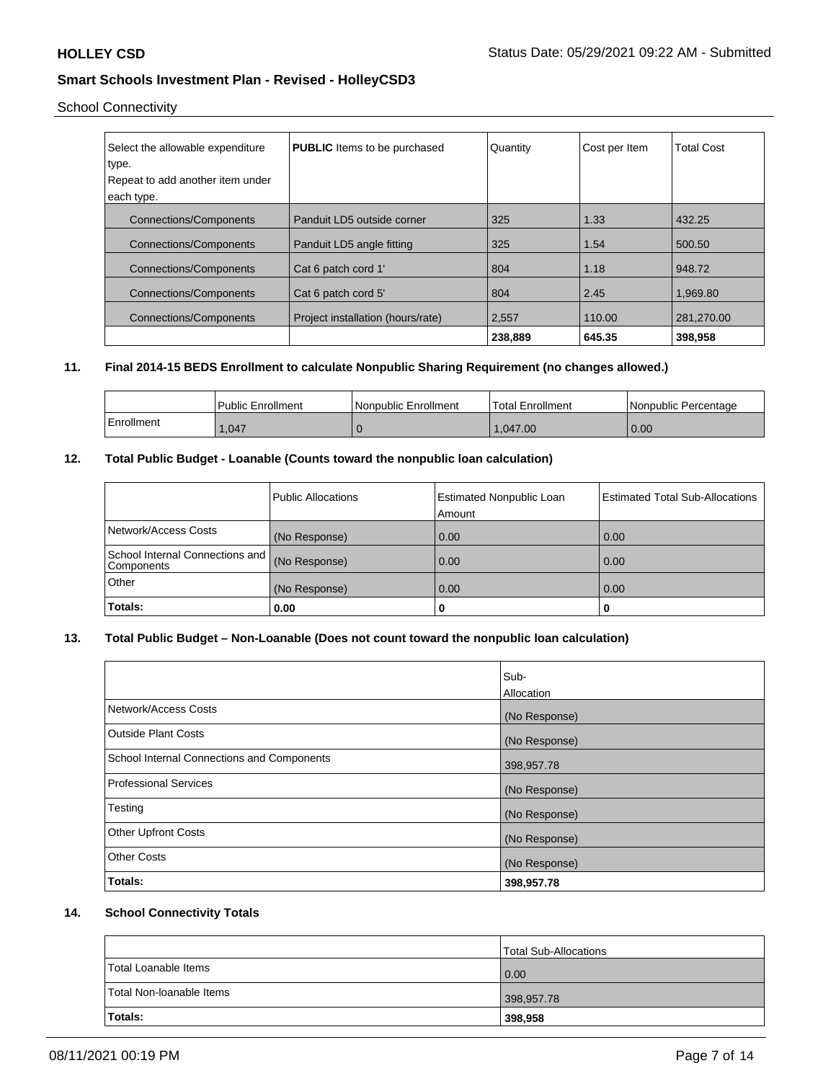## School Connectivity

| Select the allowable expenditure | <b>PUBLIC</b> Items to be purchased | Quantity | Cost per Item | <b>Total Cost</b> |
|----------------------------------|-------------------------------------|----------|---------------|-------------------|
| type.                            |                                     |          |               |                   |
| Repeat to add another item under |                                     |          |               |                   |
| each type.                       |                                     |          |               |                   |
| <b>Connections/Components</b>    | Panduit LD5 outside corner          | 325      | 1.33          | 432.25            |
| <b>Connections/Components</b>    | Panduit LD5 angle fitting           | 325      | 1.54          | 500.50            |
| <b>Connections/Components</b>    | Cat 6 patch cord 1'                 | 804      | 1.18          | 948.72            |
| <b>Connections/Components</b>    | Cat 6 patch cord 5'                 | 804      | 2.45          | 1,969.80          |
| <b>Connections/Components</b>    | Project installation (hours/rate)   | 2,557    | 110.00        | 281.270.00        |
|                                  |                                     | 238,889  | 645.35        | 398.958           |

## **11. Final 2014-15 BEDS Enrollment to calculate Nonpublic Sharing Requirement (no changes allowed.)**

|            | <b>Public Enrollment</b> | Nonpublic Enrollment | Total Enrollment | l Nonpublic Percentage |
|------------|--------------------------|----------------------|------------------|------------------------|
| Enrollment | .047                     |                      | 1.047.00         | 0.00                   |

## **12. Total Public Budget - Loanable (Counts toward the nonpublic loan calculation)**

|                                               | <b>Public Allocations</b> | <b>Estimated Nonpublic Loan</b><br>Amount | <b>Estimated Total Sub-Allocations</b> |
|-----------------------------------------------|---------------------------|-------------------------------------------|----------------------------------------|
| Network/Access Costs                          | (No Response)             | 0.00                                      | 0.00                                   |
| School Internal Connections and<br>Components | (No Response)             | 0.00                                      | 0.00                                   |
| <b>Other</b>                                  | (No Response)             | 0.00                                      | 0.00                                   |
| <b>Totals:</b>                                | 0.00                      | o                                         | 0                                      |

## **13. Total Public Budget – Non-Loanable (Does not count toward the nonpublic loan calculation)**

|                                                   | Sub-<br>Allocation |
|---------------------------------------------------|--------------------|
| Network/Access Costs                              | (No Response)      |
| Outside Plant Costs                               | (No Response)      |
| <b>School Internal Connections and Components</b> | 398,957.78         |
| <b>Professional Services</b>                      | (No Response)      |
| Testing                                           | (No Response)      |
| <b>Other Upfront Costs</b>                        | (No Response)      |
| <b>Other Costs</b>                                | (No Response)      |
| Totals:                                           | 398,957.78         |

## **14. School Connectivity Totals**

|                          | Total Sub-Allocations |
|--------------------------|-----------------------|
| Total Loanable Items     | 0.00                  |
| Total Non-Ioanable Items | 398,957.78            |
| Totals:                  | 398,958               |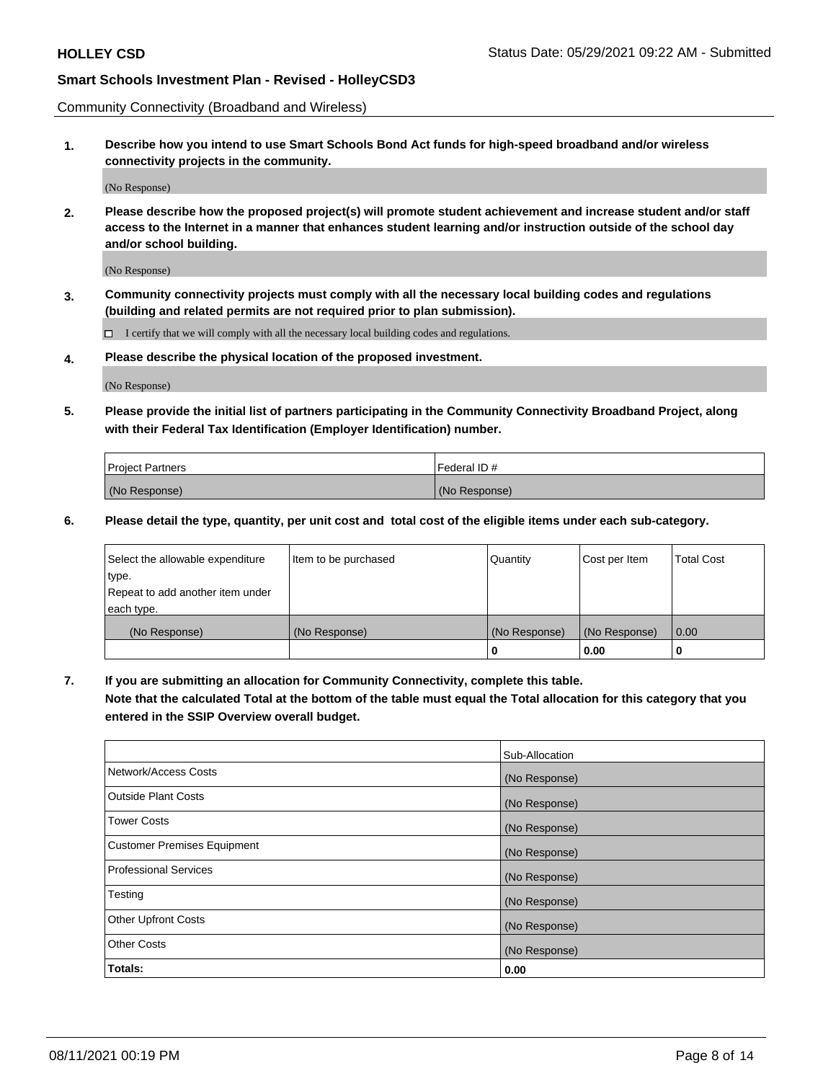Community Connectivity (Broadband and Wireless)

**1. Describe how you intend to use Smart Schools Bond Act funds for high-speed broadband and/or wireless connectivity projects in the community.**

(No Response)

**2. Please describe how the proposed project(s) will promote student achievement and increase student and/or staff access to the Internet in a manner that enhances student learning and/or instruction outside of the school day and/or school building.**

(No Response)

**3. Community connectivity projects must comply with all the necessary local building codes and regulations (building and related permits are not required prior to plan submission).**

 $\Box$  I certify that we will comply with all the necessary local building codes and regulations.

**4. Please describe the physical location of the proposed investment.**

(No Response)

**5. Please provide the initial list of partners participating in the Community Connectivity Broadband Project, along with their Federal Tax Identification (Employer Identification) number.**

| <b>Project Partners</b> | l Federal ID # |
|-------------------------|----------------|
| (No Response)           | (No Response)  |

**6. Please detail the type, quantity, per unit cost and total cost of the eligible items under each sub-category.**

| Select the allowable expenditure | Item to be purchased | Quantity      | Cost per Item | <b>Total Cost</b> |
|----------------------------------|----------------------|---------------|---------------|-------------------|
| type.                            |                      |               |               |                   |
| Repeat to add another item under |                      |               |               |                   |
| each type.                       |                      |               |               |                   |
| (No Response)                    | (No Response)        | (No Response) | (No Response) | 0.00              |
|                                  |                      | o             | 0.00          |                   |

**7. If you are submitting an allocation for Community Connectivity, complete this table.**

**Note that the calculated Total at the bottom of the table must equal the Total allocation for this category that you entered in the SSIP Overview overall budget.**

|                                    | Sub-Allocation |
|------------------------------------|----------------|
| Network/Access Costs               | (No Response)  |
| Outside Plant Costs                | (No Response)  |
| <b>Tower Costs</b>                 | (No Response)  |
| <b>Customer Premises Equipment</b> | (No Response)  |
| <b>Professional Services</b>       | (No Response)  |
| Testing                            | (No Response)  |
| <b>Other Upfront Costs</b>         | (No Response)  |
| <b>Other Costs</b>                 | (No Response)  |
| Totals:                            | 0.00           |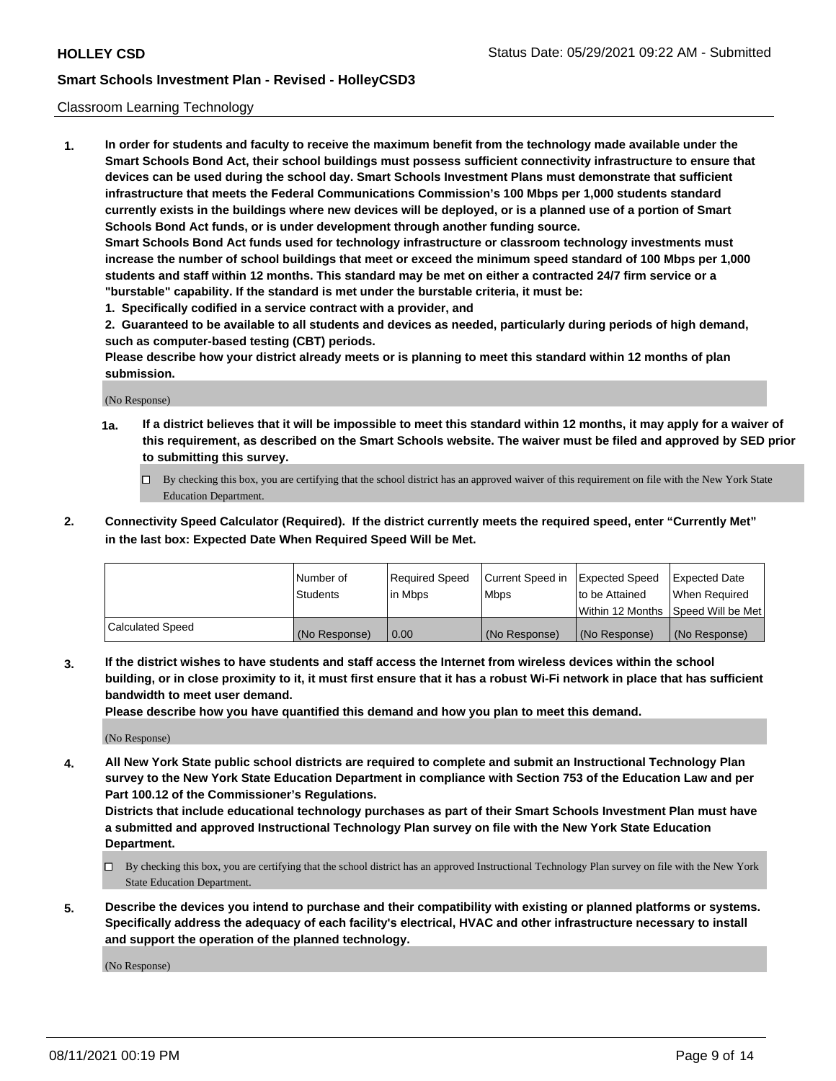### Classroom Learning Technology

**1. In order for students and faculty to receive the maximum benefit from the technology made available under the Smart Schools Bond Act, their school buildings must possess sufficient connectivity infrastructure to ensure that devices can be used during the school day. Smart Schools Investment Plans must demonstrate that sufficient infrastructure that meets the Federal Communications Commission's 100 Mbps per 1,000 students standard currently exists in the buildings where new devices will be deployed, or is a planned use of a portion of Smart Schools Bond Act funds, or is under development through another funding source. Smart Schools Bond Act funds used for technology infrastructure or classroom technology investments must increase the number of school buildings that meet or exceed the minimum speed standard of 100 Mbps per 1,000 students and staff within 12 months. This standard may be met on either a contracted 24/7 firm service or a**

- **"burstable" capability. If the standard is met under the burstable criteria, it must be:**
- **1. Specifically codified in a service contract with a provider, and**

**2. Guaranteed to be available to all students and devices as needed, particularly during periods of high demand, such as computer-based testing (CBT) periods.**

**Please describe how your district already meets or is planning to meet this standard within 12 months of plan submission.**

(No Response)

- **1a. If a district believes that it will be impossible to meet this standard within 12 months, it may apply for a waiver of this requirement, as described on the Smart Schools website. The waiver must be filed and approved by SED prior to submitting this survey.**
	- By checking this box, you are certifying that the school district has an approved waiver of this requirement on file with the New York State Education Department.
- **2. Connectivity Speed Calculator (Required). If the district currently meets the required speed, enter "Currently Met" in the last box: Expected Date When Required Speed Will be Met.**

|                  | l Number of     | Required Speed | Current Speed in | <b>Expected Speed</b> | <b>Expected Date</b>                |
|------------------|-----------------|----------------|------------------|-----------------------|-------------------------------------|
|                  | <b>Students</b> | l in Mbps      | l Mbps           | to be Attained        | When Required                       |
|                  |                 |                |                  |                       | Within 12 Months  Speed Will be Met |
| Calculated Speed | (No Response)   | 0.00           | (No Response)    | l (No Response)       | (No Response)                       |

**3. If the district wishes to have students and staff access the Internet from wireless devices within the school building, or in close proximity to it, it must first ensure that it has a robust Wi-Fi network in place that has sufficient bandwidth to meet user demand.**

**Please describe how you have quantified this demand and how you plan to meet this demand.**

(No Response)

**4. All New York State public school districts are required to complete and submit an Instructional Technology Plan survey to the New York State Education Department in compliance with Section 753 of the Education Law and per Part 100.12 of the Commissioner's Regulations.**

**Districts that include educational technology purchases as part of their Smart Schools Investment Plan must have a submitted and approved Instructional Technology Plan survey on file with the New York State Education Department.**

- By checking this box, you are certifying that the school district has an approved Instructional Technology Plan survey on file with the New York State Education Department.
- **5. Describe the devices you intend to purchase and their compatibility with existing or planned platforms or systems. Specifically address the adequacy of each facility's electrical, HVAC and other infrastructure necessary to install and support the operation of the planned technology.**

(No Response)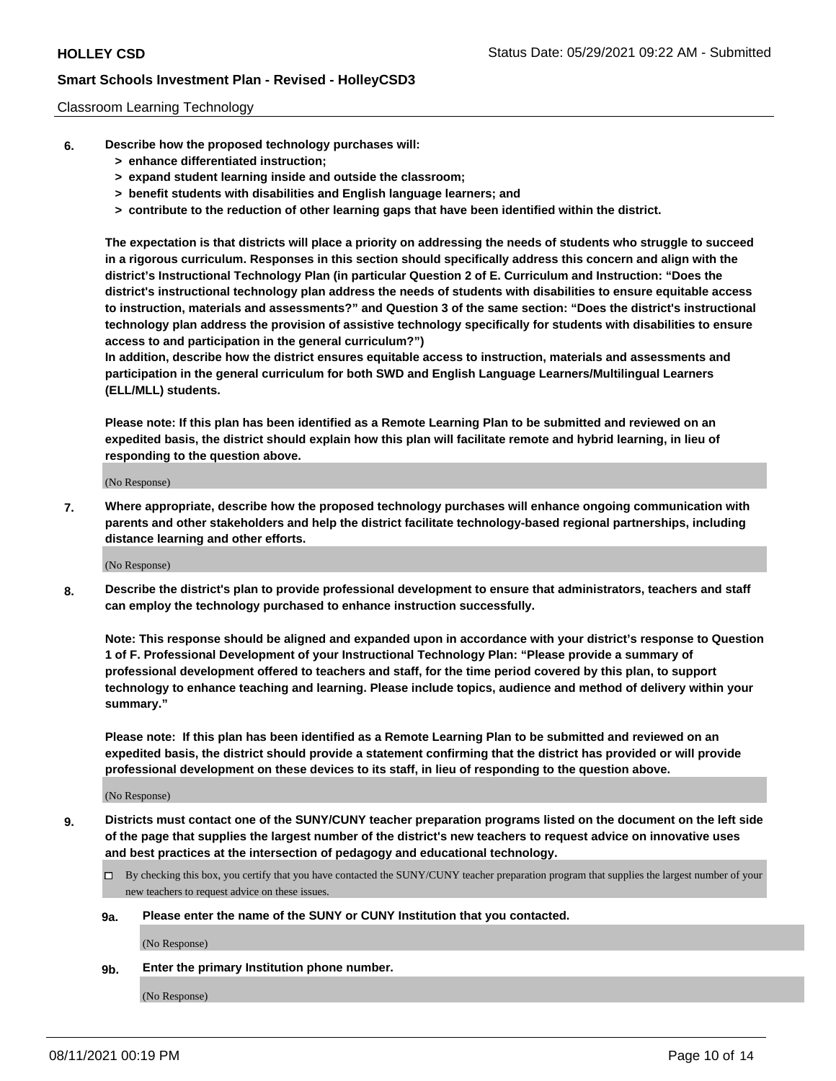### Classroom Learning Technology

- **6. Describe how the proposed technology purchases will:**
	- **> enhance differentiated instruction;**
	- **> expand student learning inside and outside the classroom;**
	- **> benefit students with disabilities and English language learners; and**
	- **> contribute to the reduction of other learning gaps that have been identified within the district.**

**The expectation is that districts will place a priority on addressing the needs of students who struggle to succeed in a rigorous curriculum. Responses in this section should specifically address this concern and align with the district's Instructional Technology Plan (in particular Question 2 of E. Curriculum and Instruction: "Does the district's instructional technology plan address the needs of students with disabilities to ensure equitable access to instruction, materials and assessments?" and Question 3 of the same section: "Does the district's instructional technology plan address the provision of assistive technology specifically for students with disabilities to ensure access to and participation in the general curriculum?")**

**In addition, describe how the district ensures equitable access to instruction, materials and assessments and participation in the general curriculum for both SWD and English Language Learners/Multilingual Learners (ELL/MLL) students.**

**Please note: If this plan has been identified as a Remote Learning Plan to be submitted and reviewed on an expedited basis, the district should explain how this plan will facilitate remote and hybrid learning, in lieu of responding to the question above.**

(No Response)

**7. Where appropriate, describe how the proposed technology purchases will enhance ongoing communication with parents and other stakeholders and help the district facilitate technology-based regional partnerships, including distance learning and other efforts.**

(No Response)

**8. Describe the district's plan to provide professional development to ensure that administrators, teachers and staff can employ the technology purchased to enhance instruction successfully.**

**Note: This response should be aligned and expanded upon in accordance with your district's response to Question 1 of F. Professional Development of your Instructional Technology Plan: "Please provide a summary of professional development offered to teachers and staff, for the time period covered by this plan, to support technology to enhance teaching and learning. Please include topics, audience and method of delivery within your summary."**

**Please note: If this plan has been identified as a Remote Learning Plan to be submitted and reviewed on an expedited basis, the district should provide a statement confirming that the district has provided or will provide professional development on these devices to its staff, in lieu of responding to the question above.**

(No Response)

- **9. Districts must contact one of the SUNY/CUNY teacher preparation programs listed on the document on the left side of the page that supplies the largest number of the district's new teachers to request advice on innovative uses and best practices at the intersection of pedagogy and educational technology.**
	- $\Box$  By checking this box, you certify that you have contacted the SUNY/CUNY teacher preparation program that supplies the largest number of your new teachers to request advice on these issues.

### **9a. Please enter the name of the SUNY or CUNY Institution that you contacted.**

(No Response)

**9b. Enter the primary Institution phone number.**

(No Response)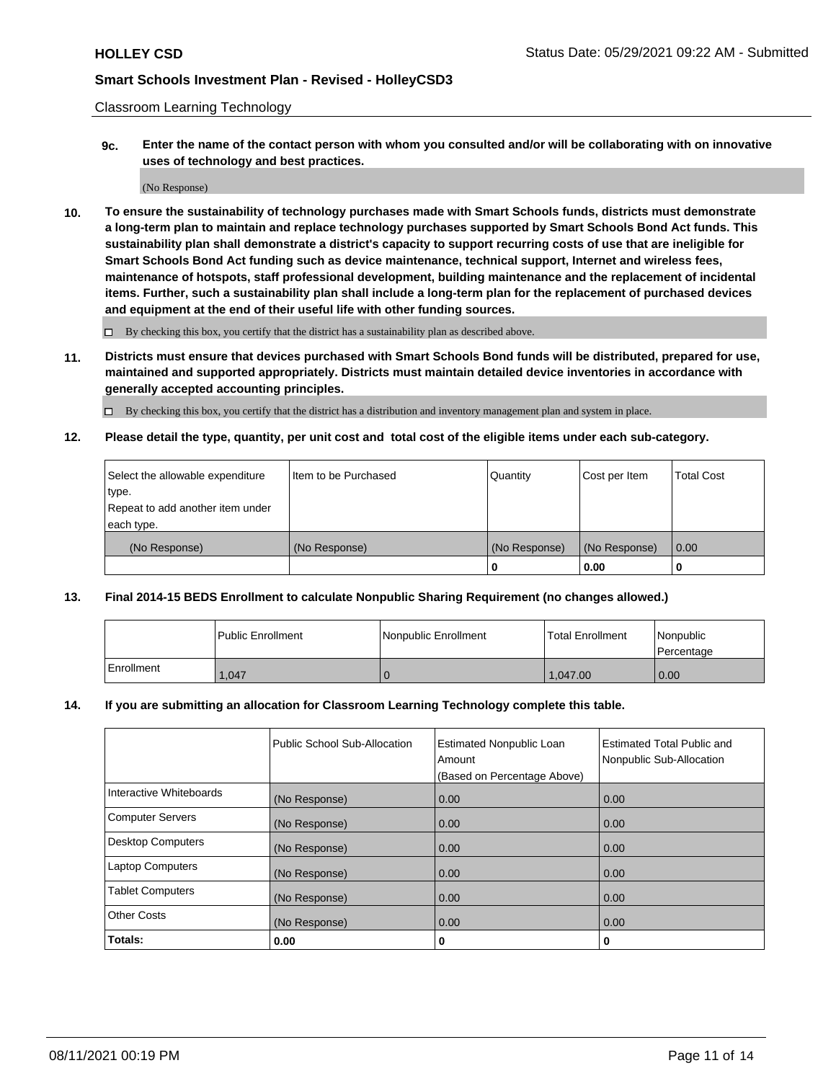Classroom Learning Technology

**9c. Enter the name of the contact person with whom you consulted and/or will be collaborating with on innovative uses of technology and best practices.**

(No Response)

**10. To ensure the sustainability of technology purchases made with Smart Schools funds, districts must demonstrate a long-term plan to maintain and replace technology purchases supported by Smart Schools Bond Act funds. This sustainability plan shall demonstrate a district's capacity to support recurring costs of use that are ineligible for Smart Schools Bond Act funding such as device maintenance, technical support, Internet and wireless fees, maintenance of hotspots, staff professional development, building maintenance and the replacement of incidental items. Further, such a sustainability plan shall include a long-term plan for the replacement of purchased devices and equipment at the end of their useful life with other funding sources.**

 $\square$  By checking this box, you certify that the district has a sustainability plan as described above.

**11. Districts must ensure that devices purchased with Smart Schools Bond funds will be distributed, prepared for use, maintained and supported appropriately. Districts must maintain detailed device inventories in accordance with generally accepted accounting principles.**

By checking this box, you certify that the district has a distribution and inventory management plan and system in place.

**12. Please detail the type, quantity, per unit cost and total cost of the eligible items under each sub-category.**

| Select the allowable expenditure | Iltem to be Purchased | Quantity      | Cost per Item | Total Cost |
|----------------------------------|-----------------------|---------------|---------------|------------|
| type.                            |                       |               |               |            |
| Repeat to add another item under |                       |               |               |            |
| each type.                       |                       |               |               |            |
| (No Response)                    | (No Response)         | (No Response) | (No Response) | 0.00       |
|                                  |                       |               | 0.00          |            |

### **13. Final 2014-15 BEDS Enrollment to calculate Nonpublic Sharing Requirement (no changes allowed.)**

|            | l Public Enrollment | Nonpublic Enrollment | <b>Total Enrollment</b> | <i>Nonpublic</i><br>l Percentage |
|------------|---------------------|----------------------|-------------------------|----------------------------------|
| Enrollment | 1,047               |                      | 1.047.00                | 0.00                             |

### **14. If you are submitting an allocation for Classroom Learning Technology complete this table.**

|                          | Public School Sub-Allocation | <b>Estimated Nonpublic Loan</b><br>Amount | Estimated Total Public and<br>Nonpublic Sub-Allocation |
|--------------------------|------------------------------|-------------------------------------------|--------------------------------------------------------|
|                          |                              | (Based on Percentage Above)               |                                                        |
| Interactive Whiteboards  | (No Response)                | 0.00                                      | 0.00                                                   |
| <b>Computer Servers</b>  | (No Response)                | 0.00                                      | 0.00                                                   |
| <b>Desktop Computers</b> | (No Response)                | 0.00                                      | 0.00                                                   |
| <b>Laptop Computers</b>  | (No Response)                | 0.00                                      | 0.00                                                   |
| <b>Tablet Computers</b>  | (No Response)                | 0.00                                      | 0.00                                                   |
| <b>Other Costs</b>       | (No Response)                | 0.00                                      | 0.00                                                   |
| Totals:                  | 0.00                         | 0                                         | o                                                      |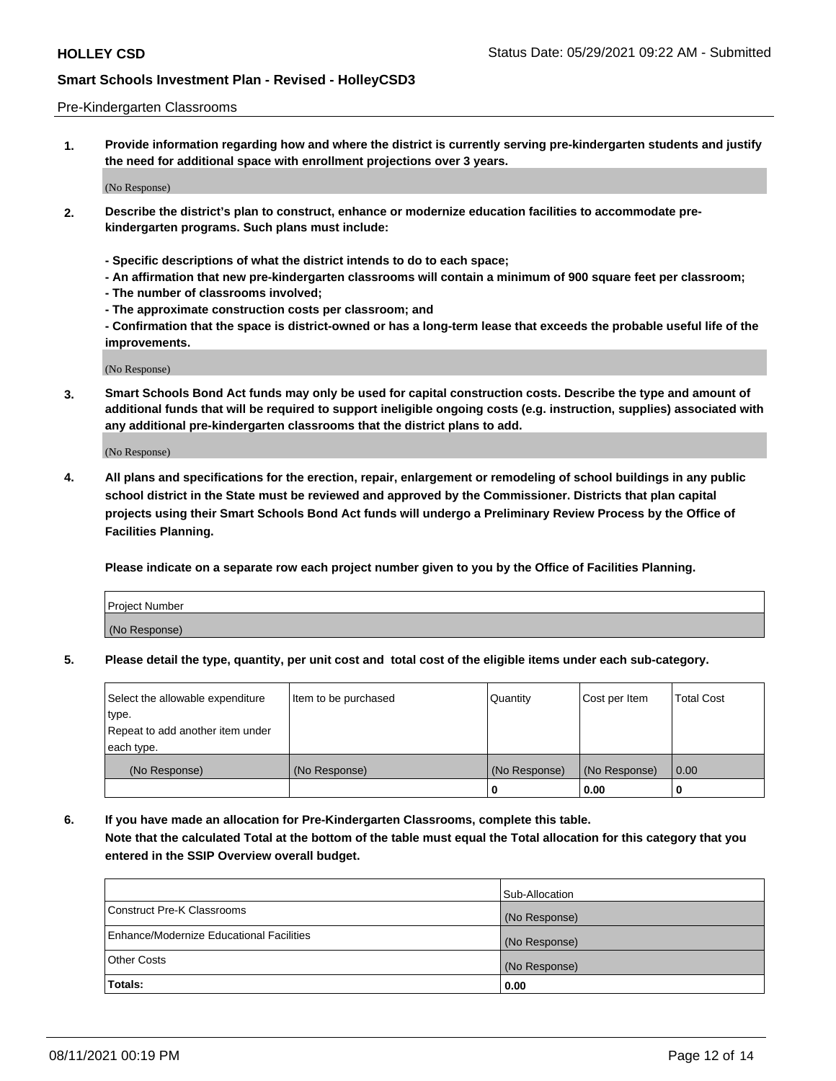### Pre-Kindergarten Classrooms

**1. Provide information regarding how and where the district is currently serving pre-kindergarten students and justify the need for additional space with enrollment projections over 3 years.**

(No Response)

- **2. Describe the district's plan to construct, enhance or modernize education facilities to accommodate prekindergarten programs. Such plans must include:**
	- **Specific descriptions of what the district intends to do to each space;**
	- **An affirmation that new pre-kindergarten classrooms will contain a minimum of 900 square feet per classroom;**
	- **The number of classrooms involved;**
	- **The approximate construction costs per classroom; and**
	- **Confirmation that the space is district-owned or has a long-term lease that exceeds the probable useful life of the improvements.**

(No Response)

**3. Smart Schools Bond Act funds may only be used for capital construction costs. Describe the type and amount of additional funds that will be required to support ineligible ongoing costs (e.g. instruction, supplies) associated with any additional pre-kindergarten classrooms that the district plans to add.**

(No Response)

**4. All plans and specifications for the erection, repair, enlargement or remodeling of school buildings in any public school district in the State must be reviewed and approved by the Commissioner. Districts that plan capital projects using their Smart Schools Bond Act funds will undergo a Preliminary Review Process by the Office of Facilities Planning.**

**Please indicate on a separate row each project number given to you by the Office of Facilities Planning.**

| Project Number |  |
|----------------|--|
| (No Response)  |  |
|                |  |

**5. Please detail the type, quantity, per unit cost and total cost of the eligible items under each sub-category.**

| Select the allowable expenditure | Item to be purchased | Quantity      | Cost per Item | <b>Total Cost</b> |
|----------------------------------|----------------------|---------------|---------------|-------------------|
| 'type.                           |                      |               |               |                   |
| Repeat to add another item under |                      |               |               |                   |
| each type.                       |                      |               |               |                   |
| (No Response)                    | (No Response)        | (No Response) | (No Response) | 0.00              |
|                                  |                      | U             | 0.00          |                   |

**6. If you have made an allocation for Pre-Kindergarten Classrooms, complete this table. Note that the calculated Total at the bottom of the table must equal the Total allocation for this category that you entered in the SSIP Overview overall budget.**

|                                          | Sub-Allocation |
|------------------------------------------|----------------|
| Construct Pre-K Classrooms               | (No Response)  |
| Enhance/Modernize Educational Facilities | (No Response)  |
| <b>Other Costs</b>                       | (No Response)  |
| Totals:                                  | 0.00           |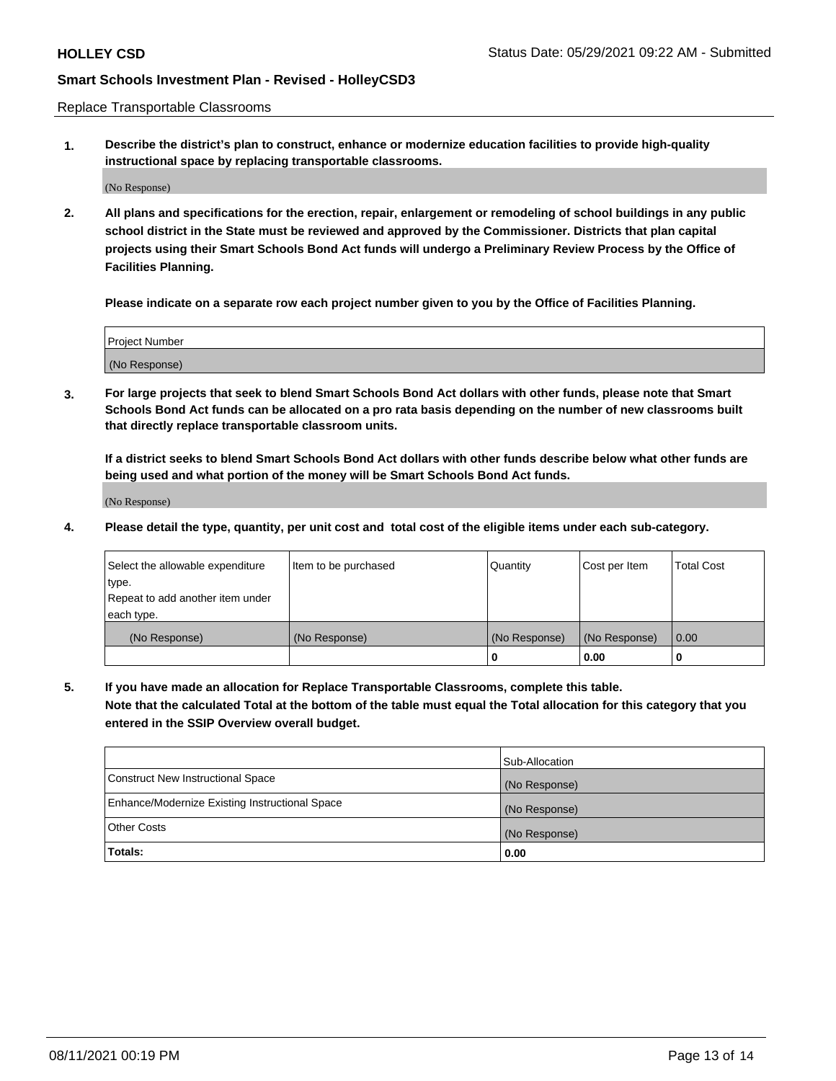Replace Transportable Classrooms

**1. Describe the district's plan to construct, enhance or modernize education facilities to provide high-quality instructional space by replacing transportable classrooms.**

(No Response)

**2. All plans and specifications for the erection, repair, enlargement or remodeling of school buildings in any public school district in the State must be reviewed and approved by the Commissioner. Districts that plan capital projects using their Smart Schools Bond Act funds will undergo a Preliminary Review Process by the Office of Facilities Planning.**

**Please indicate on a separate row each project number given to you by the Office of Facilities Planning.**

| Project Number |  |
|----------------|--|
|                |  |
|                |  |
|                |  |
| (No Response)  |  |
|                |  |
|                |  |

**3. For large projects that seek to blend Smart Schools Bond Act dollars with other funds, please note that Smart Schools Bond Act funds can be allocated on a pro rata basis depending on the number of new classrooms built that directly replace transportable classroom units.**

**If a district seeks to blend Smart Schools Bond Act dollars with other funds describe below what other funds are being used and what portion of the money will be Smart Schools Bond Act funds.**

(No Response)

**4. Please detail the type, quantity, per unit cost and total cost of the eligible items under each sub-category.**

| Select the allowable expenditure<br>∣type.     | Item to be purchased | Quantity      | Cost per Item | Total Cost |
|------------------------------------------------|----------------------|---------------|---------------|------------|
| Repeat to add another item under<br>each type. |                      |               |               |            |
| (No Response)                                  | (No Response)        | (No Response) | (No Response) | 0.00       |
|                                                |                      | u             | 0.00          |            |

**5. If you have made an allocation for Replace Transportable Classrooms, complete this table. Note that the calculated Total at the bottom of the table must equal the Total allocation for this category that you entered in the SSIP Overview overall budget.**

|                                                | Sub-Allocation |
|------------------------------------------------|----------------|
| Construct New Instructional Space              | (No Response)  |
| Enhance/Modernize Existing Instructional Space | (No Response)  |
| Other Costs                                    | (No Response)  |
| Totals:                                        | 0.00           |